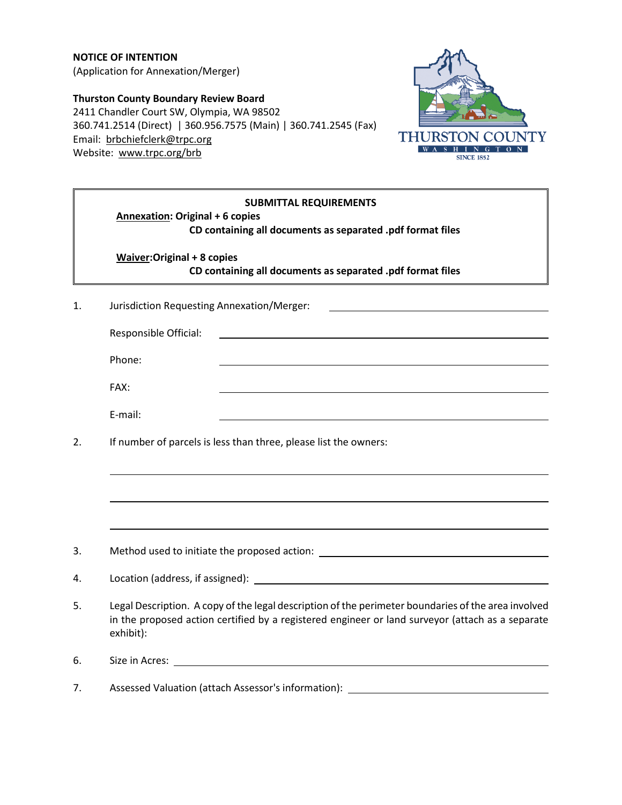**NOTICE OF INTENTION** (Application for Annexation/Merger)

**Thurston County Boundary Review Board** 2411 Chandler Court SW, Olympia, WA 98502 360.741.2514 (Direct) | 360.956.7575 (Main) | 360.741.2545 (Fax) Email: [brbchiefclerk@trpc.org](mailto:brbchiefclerk@trpc.org) Website: [www.trpc.org/brb](http://www.trpc.org/brb)



|    | <b>SUBMITTAL REQUIREMENTS</b><br><b>Annexation: Original + 6 copies</b><br>CD containing all documents as separated .pdf format files                                                                                |
|----|----------------------------------------------------------------------------------------------------------------------------------------------------------------------------------------------------------------------|
|    | <b>Waiver:Original + 8 copies</b><br>CD containing all documents as separated .pdf format files                                                                                                                      |
| 1. | Jurisdiction Requesting Annexation/Merger:                                                                                                                                                                           |
|    | Responsible Official:                                                                                                                                                                                                |
|    | Phone:                                                                                                                                                                                                               |
|    | FAX:                                                                                                                                                                                                                 |
|    | E-mail:                                                                                                                                                                                                              |
| 2. | If number of parcels is less than three, please list the owners:                                                                                                                                                     |
|    |                                                                                                                                                                                                                      |
| 3. | Method used to initiate the proposed action: ___________________________________                                                                                                                                     |
| 4. |                                                                                                                                                                                                                      |
| 5. | Legal Description. A copy of the legal description of the perimeter boundaries of the area involved<br>in the proposed action certified by a registered engineer or land surveyor (attach as a separate<br>exhibit): |
| 6. | Size in Acres:                                                                                                                                                                                                       |
| 7. | Assessed Valuation (attach Assessor's information):                                                                                                                                                                  |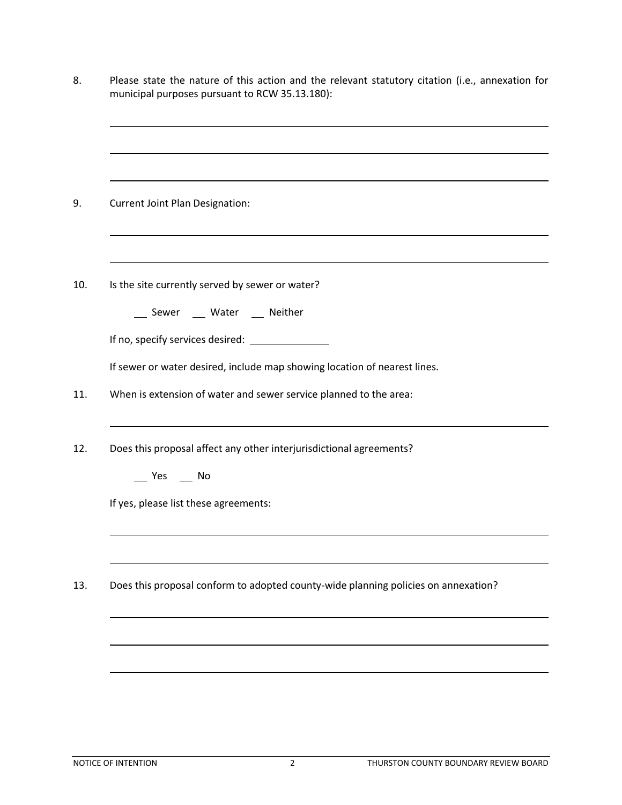|     | Please state the nature of this action and the relevant statutory citation (i.e., annexation for<br>municipal purposes pursuant to RCW 35.13.180):   |
|-----|------------------------------------------------------------------------------------------------------------------------------------------------------|
|     |                                                                                                                                                      |
|     | <b>Current Joint Plan Designation:</b>                                                                                                               |
| 10. | Is the site currently served by sewer or water?<br>__ Sewer __ Water __ Neither                                                                      |
|     | If sewer or water desired, include map showing location of nearest lines.                                                                            |
| 11. | When is extension of water and sewer service planned to the area:                                                                                    |
| 12. | Does this proposal affect any other interjurisdictional agreements?<br>$\sqrt{1 + 2}$ Yes $\sqrt{1 + 2}$ No<br>If yes, please list these agreements: |
|     |                                                                                                                                                      |
| 13. | Does this proposal conform to adopted county-wide planning policies on annexation?                                                                   |
|     |                                                                                                                                                      |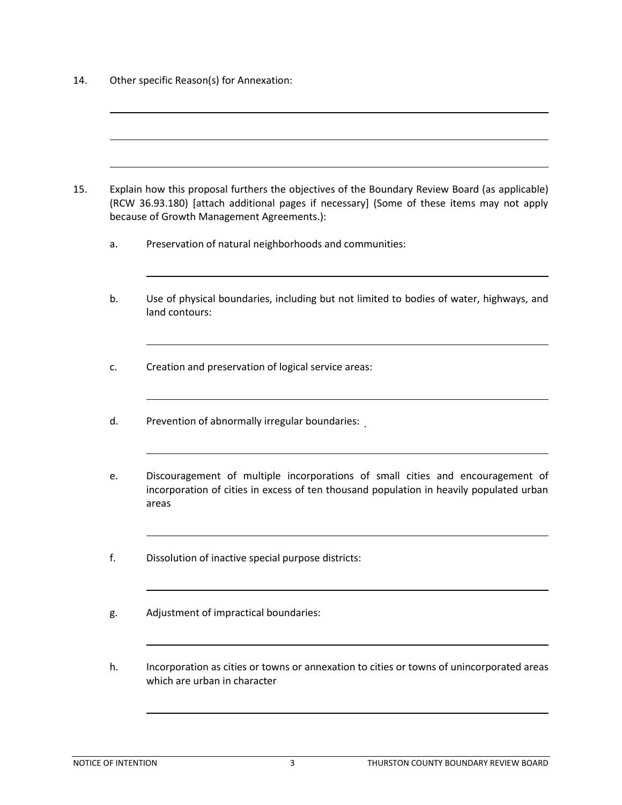14. Other specific Reason(s) for Annexation:

- 15. Explain how this proposal furthers the objectives of the Boundary Review Board (as applicable) (RCW 36.93.180) [attach additional pages if necessary] (Some of these items may not apply because of Growth Management Agreements.):
	- a. Preservation of natural neighborhoods and communities:
	- b. Use of physical boundaries, including but not limited to bodies of water, highways, and land contours:
	- c. Creation and preservation of logical service areas:
	- d. Prevention of abnormally irregular boundaries:
	- e. Discouragement of multiple incorporations of small cities and encouragement of incorporation of cities in excess of ten thousand population in heavily populated urban areas
	- f. Dissolution of inactive special purpose districts:
	- g. Adjustment of impractical boundaries:
	- h. Incorporation as cities or towns or annexation to cities or towns of unincorporated areas which are urban in character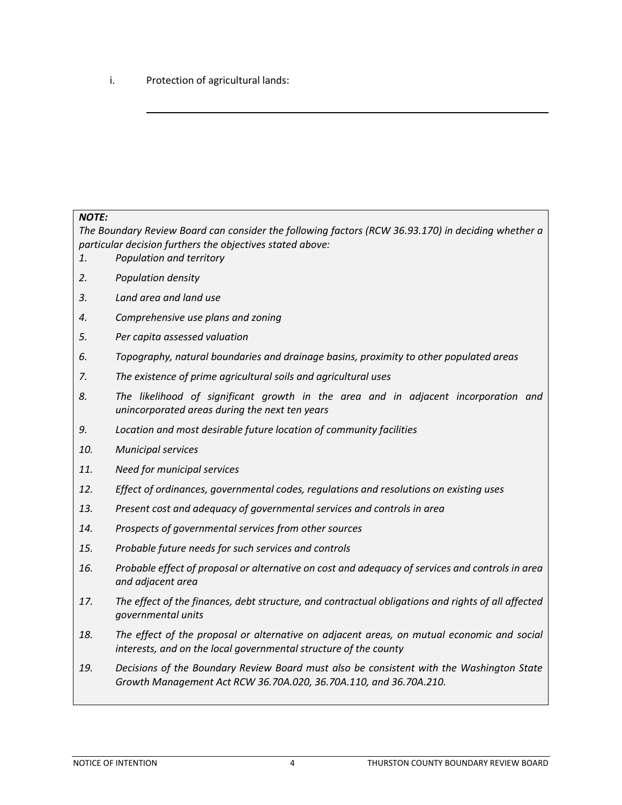i. Protection of agricultural lands:

## *NOTE:*

*The Boundary Review Board can consider the following factors (RCW 36.93.170) in deciding whether a particular decision furthers the objectives stated above:*

- *1. Population and territory*
- *2. Population density*
- *3. Land area and land use*
- *4. Comprehensive use plans and zoning*
- *5. Per capita assessed valuation*
- *6. Topography, natural boundaries and drainage basins, proximity to other populated areas*
- *7. The existence of prime agricultural soils and agricultural uses*
- *8. The likelihood of significant growth in the area and in adjacent incorporation and unincorporated areas during the next ten years*
- *9. Location and most desirable future location of community facilities*
- *10. Municipal services*
- *11. Need for municipal services*
- *12. Effect of ordinances, governmental codes, regulations and resolutions on existing uses*
- *13. Present cost and adequacy of governmental services and controls in area*
- *14. Prospects of governmental services from other sources*
- *15. Probable future needs for such services and controls*
- *16. Probable effect of proposal or alternative on cost and adequacy of services and controls in area and adjacent area*
- *17. The effect of the finances, debt structure, and contractual obligations and rights of all affected governmental units*
- *18. The effect of the proposal or alternative on adjacent areas, on mutual economic and social interests, and on the local governmental structure of the county*
- *19. Decisions of the Boundary Review Board must also be consistent with the Washington State Growth Management Act RCW 36.70A.020, 36.70A.110, and 36.70A.210.*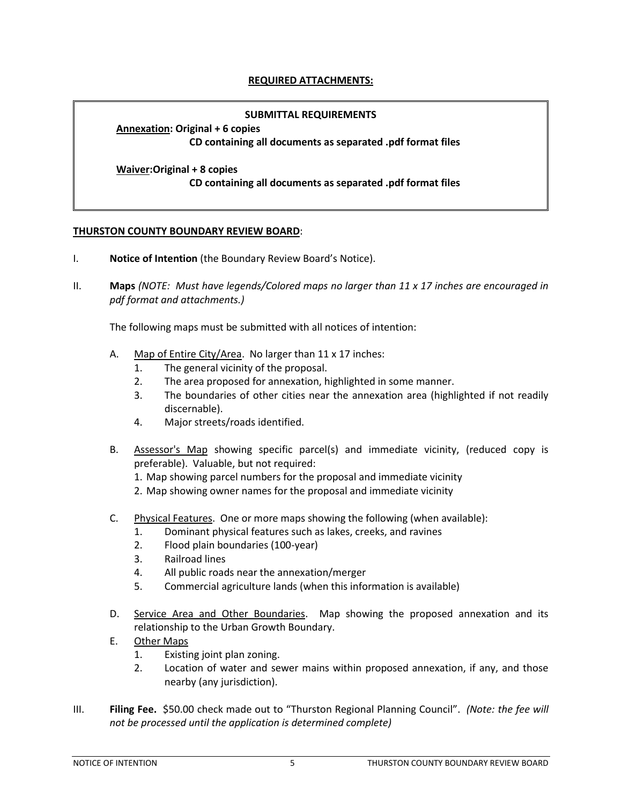## **REQUIRED ATTACHMENTS:**

## **SUBMITTAL REQUIREMENTS**

**Annexation: Original + 6 copies CD containing all documents as separated .pdf format files**

**Waiver:Original + 8 copies CD containing all documents as separated .pdf format files**

## **THURSTON COUNTY BOUNDARY REVIEW BOARD**:

- I. **Notice of Intention** (the Boundary Review Board's Notice).
- II. **Maps** *(NOTE: Must have legends/Colored maps no larger than 11 x 17 inches are encouraged in pdf format and attachments.)*

The following maps must be submitted with all notices of intention:

- A. Map of Entire City/Area. No larger than 11 x 17 inches:
	- 1. The general vicinity of the proposal.
	- 2. The area proposed for annexation, highlighted in some manner.
	- 3. The boundaries of other cities near the annexation area (highlighted if not readily discernable).
	- 4. Major streets/roads identified.
- B. Assessor's Map showing specific parcel(s) and immediate vicinity, (reduced copy is preferable). Valuable, but not required:
	- 1. Map showing parcel numbers for the proposal and immediate vicinity
	- 2. Map showing owner names for the proposal and immediate vicinity
- C. Physical Features. One or more maps showing the following (when available):
	- 1. Dominant physical features such as lakes, creeks, and ravines
	- 2. Flood plain boundaries (100-year)
	- 3. Railroad lines
	- 4. All public roads near the annexation/merger
	- 5. Commercial agriculture lands (when this information is available)
- D. Service Area and Other Boundaries. Map showing the proposed annexation and its relationship to the Urban Growth Boundary.
- E. Other Maps
	- 1. Existing joint plan zoning.
	- 2. Location of water and sewer mains within proposed annexation, if any, and those nearby (any jurisdiction).
- III. **Filing Fee.** \$50.00 check made out to "Thurston Regional Planning Council". *(Note: the fee will not be processed until the application is determined complete)*